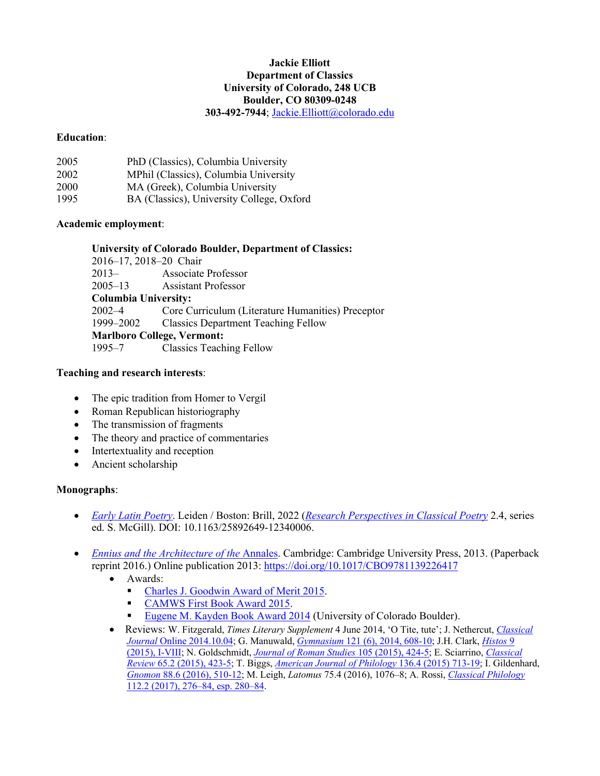#### **Jackie Elliott Department of Classics University of Colorado, 248 UCB Boulder, CO 80309-0248 303-492-7944**; Jackie.Elliott@colorado.edu

### **Education**:

| 2005 | PhD (Classics), Columbia University       |
|------|-------------------------------------------|
| 2002 | MPhil (Classics), Columbia University     |
| 2000 | MA (Greek), Columbia University           |
| 1995 | BA (Classics), University College, Oxford |

### **Academic employment**:

### **University of Colorado Boulder, Department of Classics:**

| 2016-17, 2018-20 Chair            |                                                          |
|-----------------------------------|----------------------------------------------------------|
| $2013-$                           | <b>Associate Professor</b>                               |
|                                   | 2005–13 Assistant Professor                              |
| <b>Columbia University:</b>       |                                                          |
|                                   | 2002–4 Core Curriculum (Literature Humanities) Preceptor |
|                                   | 1999–2002 Classics Department Teaching Fellow            |
| <b>Marlboro College, Vermont:</b> |                                                          |
| $1995 - 7$                        | <b>Classics Teaching Fellow</b>                          |

### **Teaching and research interests**:

- The epic tradition from Homer to Vergil
- Roman Republican historiography
- The transmission of fragments
- The theory and practice of commentaries
- Intertextuality and reception
- Ancient scholarship

#### **Monographs**:

- *Early Latin Poetry*. Leiden / Boston: Brill, 2022 (*Research Perspectives in Classical Poetry* 2.4, series ed. S. McGill). DOI: 10.1163/25892649-12340006.
- *Ennius and the Architecture of the Annales.* Cambridge: Cambridge University Press, 2013. (Paperback reprint 2016.) Online publication 2013: https://doi.org/10.1017/CBO9781139226417
	- Awards:
		- Charles J. Goodwin Award of Merit 2015.
		- § CAMWS First Book Award 2015.
		- Eugene M. Kayden Book Award 2014 (University of Colorado Boulder).
	- Reviews: W. Fitzgerald, *Times Literary Supplement* 4 June 2014, 'O Tite, tute'; J. Nethercut, *Classical Journal* Online 2014.10.04; G. Manuwald, *Gymnasium* 121 (6), 2014, 608-10; J.H. Clark, *Histos* 9 (2015), I-VIII; N. Goldschmidt, *Journal of Roman Studies* 105 (2015), 424-5; E. Sciarrino, *Classical Review* 65.2 (2015), 423-5; T. Biggs, *American Journal of Philology* 136.4 (2015) 713-19; I. Gildenhard, *Gnomon* 88.6 (2016), 510-12; M. Leigh, *Latomus* 75.4 (2016), 1076–8; A. Rossi, *Classical Philology*  112.2 (2017), 276–84, esp. 280–84.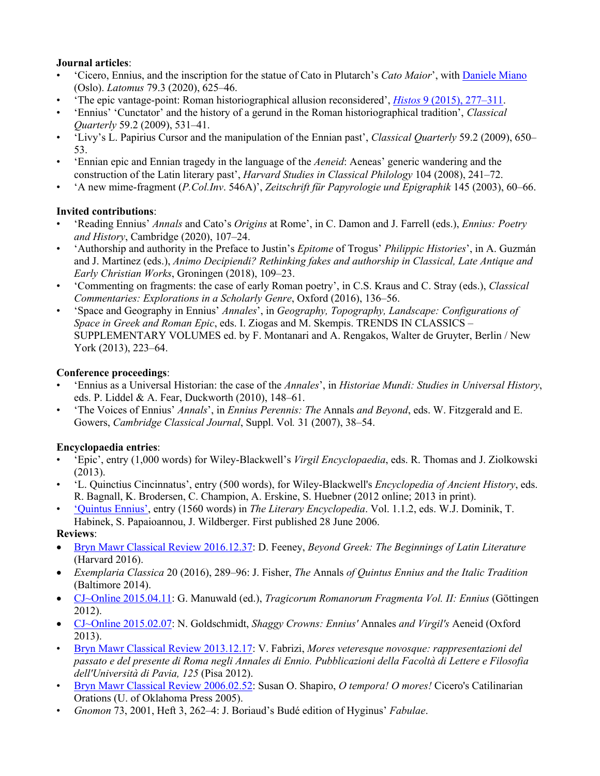# **Journal articles**:

- 'Cicero, Ennius, and the inscription for the statue of Cato in Plutarch's *Cato Maior*', with Daniele Miano (Oslo). *Latomus* 79.3 (2020), 625–46.
- 'The epic vantage-point: Roman historiographical allusion reconsidered', *Histos* 9 (2015), 277–311.
- 'Ennius' 'Cunctator' and the history of a gerund in the Roman historiographical tradition', *Classical Quarterly* 59.2 (2009), 531–41.
- 'Livy's L. Papirius Cursor and the manipulation of the Ennian past', *Classical Quarterly* 59.2 (2009), 650– 53.
- 'Ennian epic and Ennian tragedy in the language of the *Aeneid*: Aeneas' generic wandering and the construction of the Latin literary past', *Harvard Studies in Classical Philology* 104 (2008), 241–72.
- 'A new mime-fragment (*P.Col.Inv*. 546A)', *Zeitschrift für Papyrologie und Epigraphik* 145 (2003), 60–66.

# **Invited contributions**:

- 'Reading Ennius' *Annals* and Cato's *Origins* at Rome', in C. Damon and J. Farrell (eds.), *Ennius: Poetry and History*, Cambridge (2020), 107–24.
- 'Authorship and authority in the Preface to Justin's *Epitome* of Trogus' *Philippic Histories*', in A. Guzmán and J. Martinez (eds.), *Animo Decipiendi? Rethinking fakes and authorship in Classical, Late Antique and Early Christian Works*, Groningen (2018), 109–23.
- 'Commenting on fragments: the case of early Roman poetry', in C.S. Kraus and C. Stray (eds.), *Classical Commentaries: Explorations in a Scholarly Genre*, Oxford (2016), 136–56.
- 'Space and Geography in Ennius' *Annales*', in *Geography, Topography, Landscape: Configurations of Space in Greek and Roman Epic*, eds. I. Ziogas and M. Skempis. TRENDS IN CLASSICS – SUPPLEMENTARY VOLUMES ed. by F. Montanari and A. Rengakos, Walter de Gruyter, Berlin / New York (2013), 223–64.

# **Conference proceedings**:

- 'Ennius as a Universal Historian: the case of the *Annales*', in *Historiae Mundi: Studies in Universal History*, eds. P. Liddel & A. Fear, Duckworth (2010), 148–61.
- 'The Voices of Ennius' *Annals*', in *Ennius Perennis: The* Annals *and Beyond*, eds. W. Fitzgerald and E. Gowers, *Cambridge Classical Journal*, Suppl. Vol*.* 31 (2007), 38–54.

# **Encyclopaedia entries**:

- 'Epic', entry (1,000 words) for Wiley-Blackwell's *Virgil Encyclopaedia*, eds. R. Thomas and J. Ziolkowski (2013).
- 'L. Quinctius Cincinnatus', entry (500 words), for Wiley-Blackwell's *Encyclopedia of Ancient History*, eds. R. Bagnall, K. Brodersen, C. Champion, A. Erskine, S. Huebner (2012 online; 2013 in print).
- 'Quintus Ennius', entry (1560 words) in *The Literary Encyclopedia*. Vol. 1.1.2, eds. W.J. Dominik, T. Habinek, S. Papaioannou, J. Wildberger. First published 28 June 2006.

# **Reviews**:

- Bryn Mawr Classical Review 2016.12.37: D. Feeney, *Beyond Greek: The Beginnings of Latin Literature*  (Harvard 2016).
- *Exemplaria Classica* 20 (2016), 289–96: J. Fisher, *The* Annals *of Quintus Ennius and the Italic Tradition* (Baltimore 2014).
- CJ~Online 2015.04.11: G. Manuwald (ed.), *Tragicorum Romanorum Fragmenta Vol. II: Ennius* (Göttingen 2012).
- CJ~Online 2015.02.07: N. Goldschmidt, *Shaggy Crowns: Ennius'* Annales *and Virgil's* Aeneid (Oxford 2013).
- Bryn Mawr Classical Review 2013.12.17: V. Fabrizi, *Mores veteresque novosque: rappresentazioni del passato e del presente di Roma negli Annales di Ennio. Pubblicazioni della Facoltà di Lettere e Filosofia dell'Università di Pavia, 125* (Pisa 2012).
- Bryn Mawr Classical Review 2006.02.52: Susan O. Shapiro, *O tempora! O mores!* Cicero's Catilinarian Orations (U. of Oklahoma Press 2005).
- *Gnomon* 73, 2001, Heft 3, 262–4: J. Boriaud's Budé edition of Hyginus' *Fabulae*.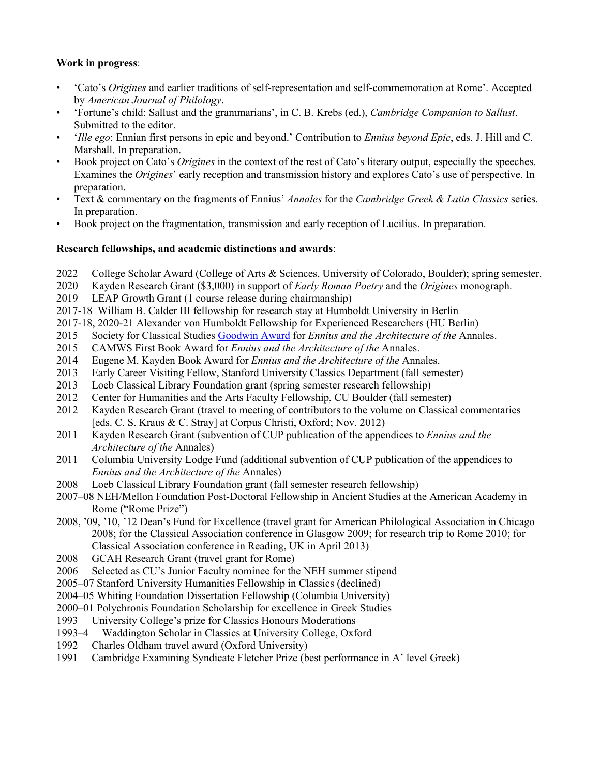### **Work in progress**:

- 'Cato's *Origines* and earlier traditions of self-representation and self-commemoration at Rome'. Accepted by *American Journal of Philology*.
- 'Fortune's child: Sallust and the grammarians', in C. B. Krebs (ed.), *Cambridge Companion to Sallust*. Submitted to the editor.
- '*Ille ego*: Ennian first persons in epic and beyond.' Contribution to *Ennius beyond Epic*, eds. J. Hill and C. Marshall. In preparation.
- Book project on Cato's *Origines* in the context of the rest of Cato's literary output, especially the speeches. Examines the *Origines*' early reception and transmission history and explores Cato's use of perspective. In preparation.
- Text & commentary on the fragments of Ennius' *Annales* for the *Cambridge Greek & Latin Classics* series. In preparation.
- Book project on the fragmentation, transmission and early reception of Lucilius. In preparation.

### **Research fellowships, and academic distinctions and awards**:

- 2022 College Scholar Award (College of Arts & Sciences, University of Colorado, Boulder); spring semester.
- 2020 Kayden Research Grant (\$3,000) in support of *Early Roman Poetry* and the *Origines* monograph.
- 2019 LEAP Growth Grant (1 course release during chairmanship)
- 2017-18 William B. Calder III fellowship for research stay at Humboldt University in Berlin
- 2017-18, 2020-21 Alexander von Humboldt Fellowship for Experienced Researchers (HU Berlin)
- 2015 Society for Classical Studies Goodwin Award for *Ennius and the Architecture of the* Annales.
- 2015 CAMWS First Book Award for *Ennius and the Architecture of the* Annales.
- 2014 Eugene M. Kayden Book Award for *Ennius and the Architecture of the* Annales.
- 2013 Early Career Visiting Fellow, Stanford University Classics Department (fall semester)
- 2013 Loeb Classical Library Foundation grant (spring semester research fellowship)
- 2012 Center for Humanities and the Arts Faculty Fellowship, CU Boulder (fall semester)
- 2012 Kayden Research Grant (travel to meeting of contributors to the volume on Classical commentaries [eds. C. S. Kraus & C. Stray] at Corpus Christi, Oxford; Nov. 2012)
- 2011 Kayden Research Grant (subvention of CUP publication of the appendices to *Ennius and the Architecture of the* Annales)
- 2011 Columbia University Lodge Fund (additional subvention of CUP publication of the appendices to *Ennius and the Architecture of the* Annales)
- 2008 Loeb Classical Library Foundation grant (fall semester research fellowship)
- 2007–08 NEH/Mellon Foundation Post-Doctoral Fellowship in Ancient Studies at the American Academy in Rome ("Rome Prize")
- 2008, '09, '10, '12 Dean's Fund for Excellence (travel grant for American Philological Association in Chicago 2008; for the Classical Association conference in Glasgow 2009; for research trip to Rome 2010; for Classical Association conference in Reading, UK in April 2013)
- 2008 GCAH Research Grant (travel grant for Rome)
- 2006 Selected as CU's Junior Faculty nominee for the NEH summer stipend
- 2005–07 Stanford University Humanities Fellowship in Classics (declined)
- 2004–05 Whiting Foundation Dissertation Fellowship (Columbia University)
- 2000–01 Polychronis Foundation Scholarship for excellence in Greek Studies
- 1993 University College's prize for Classics Honours Moderations
- 1993–4 Waddington Scholar in Classics at University College, Oxford
- 1992 Charles Oldham travel award (Oxford University)
- 1991 Cambridge Examining Syndicate Fletcher Prize (best performance in A' level Greek)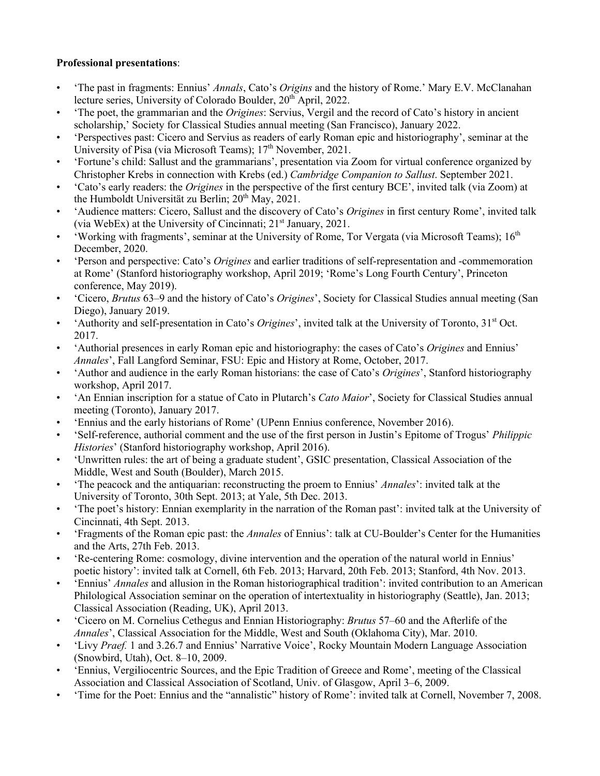# **Professional presentations**:

- 'The past in fragments: Ennius' *Annals*, Cato's *Origins* and the history of Rome.' Mary E.V. McClanahan lecture series, University of Colorado Boulder, 20<sup>th</sup> April, 2022.
- 'The poet, the grammarian and the *Origines*: Servius, Vergil and the record of Cato's history in ancient scholarship,' Society for Classical Studies annual meeting (San Francisco), January 2022.
- 'Perspectives past: Cicero and Servius as readers of early Roman epic and historiography', seminar at the University of Pisa (via Microsoft Teams); 17<sup>th</sup> November, 2021.
- 'Fortune's child: Sallust and the grammarians', presentation via Zoom for virtual conference organized by Christopher Krebs in connection with Krebs (ed.) *Cambridge Companion to Sallust*. September 2021.
- 'Cato's early readers: the *Origines* in the perspective of the first century BCE', invited talk (via Zoom) at the Humboldt Universität zu Berlin; 20<sup>th</sup> May, 2021.
- 'Audience matters: Cicero, Sallust and the discovery of Cato's *Origines* in first century Rome', invited talk (via WebEx) at the University of Cincinnati;  $21<sup>st</sup>$  January, 2021.
- 'Working with fragments', seminar at the University of Rome, Tor Vergata (via Microsoft Teams);  $16<sup>th</sup>$ December, 2020.
- 'Person and perspective: Cato's *Origines* and earlier traditions of self-representation and -commemoration at Rome' (Stanford historiography workshop, April 2019; 'Rome's Long Fourth Century', Princeton conference, May 2019).
- 'Cicero, *Brutus* 63–9 and the history of Cato's *Origines*', Society for Classical Studies annual meeting (San Diego), January 2019.
- 'Authority and self-presentation in Cato's *Origines*', invited talk at the University of Toronto, 31<sup>st</sup> Oct. 2017.
- 'Authorial presences in early Roman epic and historiography: the cases of Cato's *Origines* and Ennius' *Annales*', Fall Langford Seminar, FSU: Epic and History at Rome, October, 2017.
- 'Author and audience in the early Roman historians: the case of Cato's *Origines*', Stanford historiography workshop, April 2017.
- 'An Ennian inscription for a statue of Cato in Plutarch's *Cato Maior*', Society for Classical Studies annual meeting (Toronto), January 2017.
- 'Ennius and the early historians of Rome' (UPenn Ennius conference, November 2016).
- 'Self-reference, authorial comment and the use of the first person in Justin's Epitome of Trogus' *Philippic Histories*' (Stanford historiography workshop, April 2016).
- 'Unwritten rules: the art of being a graduate student', GSIC presentation, Classical Association of the Middle, West and South (Boulder), March 2015.
- 'The peacock and the antiquarian: reconstructing the proem to Ennius' *Annales*': invited talk at the University of Toronto, 30th Sept. 2013; at Yale, 5th Dec. 2013.
- 'The poet's history: Ennian exemplarity in the narration of the Roman past': invited talk at the University of Cincinnati, 4th Sept. 2013.
- 'Fragments of the Roman epic past: the *Annales* of Ennius': talk at CU-Boulder's Center for the Humanities and the Arts, 27th Feb. 2013.
- 'Re-centering Rome: cosmology, divine intervention and the operation of the natural world in Ennius' poetic history': invited talk at Cornell, 6th Feb. 2013; Harvard, 20th Feb. 2013; Stanford, 4th Nov. 2013.
- 'Ennius' *Annales* and allusion in the Roman historiographical tradition': invited contribution to an American Philological Association seminar on the operation of intertextuality in historiography (Seattle), Jan. 2013; Classical Association (Reading, UK), April 2013.
- 'Cicero on M. Cornelius Cethegus and Ennian Historiography: *Brutus* 57–60 and the Afterlife of the *Annales*', Classical Association for the Middle, West and South (Oklahoma City), Mar. 2010.
- 'Livy *Praef.* 1 and 3.26.7 and Ennius' Narrative Voice', Rocky Mountain Modern Language Association (Snowbird, Utah), Oct. 8–10, 2009.
- 'Ennius, Vergiliocentric Sources, and the Epic Tradition of Greece and Rome', meeting of the Classical Association and Classical Association of Scotland, Univ. of Glasgow, April 3–6, 2009.
- 'Time for the Poet: Ennius and the "annalistic" history of Rome': invited talk at Cornell, November 7, 2008.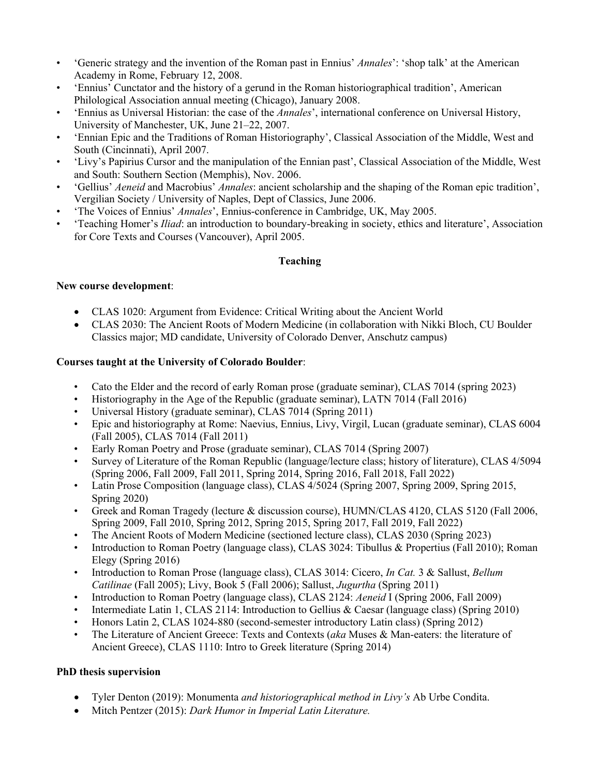- 'Generic strategy and the invention of the Roman past in Ennius' *Annales*': 'shop talk' at the American Academy in Rome, February 12, 2008.
- 'Ennius' Cunctator and the history of a gerund in the Roman historiographical tradition', American Philological Association annual meeting (Chicago), January 2008.
- 'Ennius as Universal Historian: the case of the *Annales*', international conference on Universal History, University of Manchester, UK, June 21–22, 2007.
- 'Ennian Epic and the Traditions of Roman Historiography', Classical Association of the Middle, West and South (Cincinnati), April 2007.
- 'Livy's Papirius Cursor and the manipulation of the Ennian past', Classical Association of the Middle, West and South: Southern Section (Memphis), Nov. 2006.
- 'Gellius' *Aeneid* and Macrobius' *Annales*: ancient scholarship and the shaping of the Roman epic tradition', Vergilian Society / University of Naples, Dept of Classics, June 2006.
- 'The Voices of Ennius' *Annales*', Ennius-conference in Cambridge, UK, May 2005.
- 'Teaching Homer's *Iliad*: an introduction to boundary-breaking in society, ethics and literature', Association for Core Texts and Courses (Vancouver), April 2005.

### **Teaching**

### **New course development**:

- CLAS 1020: Argument from Evidence: Critical Writing about the Ancient World
- CLAS 2030: The Ancient Roots of Modern Medicine (in collaboration with Nikki Bloch, CU Boulder Classics major; MD candidate, University of Colorado Denver, Anschutz campus)

### **Courses taught at the University of Colorado Boulder**:

- Cato the Elder and the record of early Roman prose (graduate seminar), CLAS 7014 (spring 2023)
- Historiography in the Age of the Republic (graduate seminar), LATN 7014 (Fall 2016)
- Universal History (graduate seminar), CLAS 7014 (Spring 2011)
- Epic and historiography at Rome: Naevius, Ennius, Livy, Virgil, Lucan (graduate seminar), CLAS 6004 (Fall 2005), CLAS 7014 (Fall 2011)
- Early Roman Poetry and Prose (graduate seminar), CLAS 7014 (Spring 2007)
- Survey of Literature of the Roman Republic (language/lecture class; history of literature), CLAS 4/5094 (Spring 2006, Fall 2009, Fall 2011, Spring 2014, Spring 2016, Fall 2018, Fall 2022)
- Latin Prose Composition (language class), CLAS  $\frac{4}{5024}$  (Spring 2007, Spring 2009, Spring 2015, Spring 2020)
- Greek and Roman Tragedy (lecture & discussion course), HUMN/CLAS 4120, CLAS 5120 (Fall 2006, Spring 2009, Fall 2010, Spring 2012, Spring 2015, Spring 2017, Fall 2019, Fall 2022)
- The Ancient Roots of Modern Medicine (sectioned lecture class), CLAS 2030 (Spring 2023)
- Introduction to Roman Poetry (language class), CLAS 3024: Tibullus & Propertius (Fall 2010); Roman Elegy (Spring 2016)
- Introduction to Roman Prose (language class), CLAS 3014: Cicero, *In Cat.* 3 & Sallust, *Bellum Catilinae* (Fall 2005); Livy, Book 5 (Fall 2006); Sallust, *Jugurtha* (Spring 2011)
- Introduction to Roman Poetry (language class), CLAS 2124: *Aeneid* I (Spring 2006, Fall 2009)
- Intermediate Latin 1, CLAS 2114: Introduction to Gellius & Caesar (language class) (Spring 2010)
- Honors Latin 2, CLAS 1024-880 (second-semester introductory Latin class) (Spring 2012)
- The Literature of Ancient Greece: Texts and Contexts (*aka* Muses & Man-eaters: the literature of Ancient Greece), CLAS 1110: Intro to Greek literature (Spring 2014)

# **PhD thesis supervision**

- Tyler Denton (2019): Monumenta *and historiographical method in Livy's* Ab Urbe Condita.
- Mitch Pentzer (2015): *Dark Humor in Imperial Latin Literature.*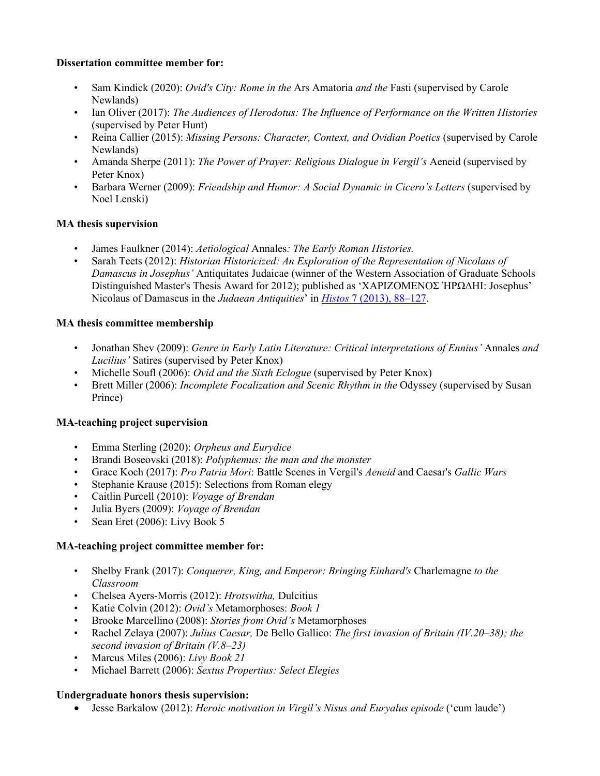#### **Dissertation committee member for:**

- Sam Kindick (2020): *Ovid's City: Rome in the* Ars Amatoria *and the* Fasti (supervised by Carole Newlands)
- Ian Oliver (2017): *The Audiences of Herodotus: The Influence of Performance on the Written Histories* (supervised by Peter Hunt)
- Reina Callier (2015): *Missing Persons: Character, Context, and Ovidian Poetics* (supervised by Carole Newlands)
- Amanda Sherpe (2011): *The Power of Prayer: Religious Dialogue in Vergil's* Aeneid (supervised by Peter Knox)
- Barbara Werner (2009): *Friendship and Humor: A Social Dynamic in Cicero's Letters* (supervised by Noel Lenski)

# **MA thesis supervision**

- James Faulkner (2014): *Aetiological* Annales*: The Early Roman Histories.*
- Sarah Teets (2012): *Historian Historicized: An Exploration of the Representation of Nicolaus of Damascus in Josephus'* Antiquitates Judaicae (winner of the Western Association of Graduate Schools Distinguished Master's Thesis Award for 2012); published as 'ΧΑΡΙΖΟΜΕΝΟΣ ἩΡΩΔΗΙ: Josephus' Nicolaus of Damascus in the *Judaean Antiquities*' in *Histos* 7 (2013), 88*–*127.

### **MA thesis committee membership**

- Jonathan Shev (2009): *Genre in Early Latin Literature: Critical interpretations of Ennius'* Annales *and Lucilius'* Satires (supervised by Peter Knox)
- Michelle Soufl (2006): *Ovid and the Sixth Eclogue* (supervised by Peter Knox)
- Brett Miller (2006): *Incomplete Focalization and Scenic Rhythm in the* Odyssey (supervised by Susan Prince)

# **MA-teaching project supervision**

- Emma Sterling (2020): *Orpheus and Eurydice*
- Brandi Boseovski (2018): *Polyphemus: the man and the monster*
- Grace Koch (2017): *Pro Patria Mori*: Battle Scenes in Vergil's *Aeneid* and Caesar's *Gallic Wars*
- Stephanie Krause (2015): Selections from Roman elegy
- Caitlin Purcell (2010): *Voyage of Brendan*
- Julia Byers (2009): *Voyage of Brendan*
- Sean Eret (2006): Livy Book 5

#### **MA-teaching project committee member for:**

- Shelby Frank (2017): *Conquerer, King, and Emperor: Bringing Einhard's* Charlemagne *to the Classroom*
- Chelsea Ayers-Morris (2012): *Hrotswitha,* Dulcitius
- Katie Colvin (2012): *Ovid's* Metamorphoses: *Book 1*
- Brooke Marcellino (2008): *Stories from Ovid's* Metamorphoses
- Rachel Zelaya (2007): *Julius Caesar,* De Bello Gallico: *The first invasion of Britain (IV.20–38); the second invasion of Britain (V.8–23)*
- Marcus Miles (2006): *Livy Book 21*
- Michael Barrett (2006): *Sextus Propertius: Select Elegies*

#### **Undergraduate honors thesis supervision:**

• Jesse Barkalow (2012): *Heroic motivation in Virgil's Nisus and Euryalus episode* ('cum laude')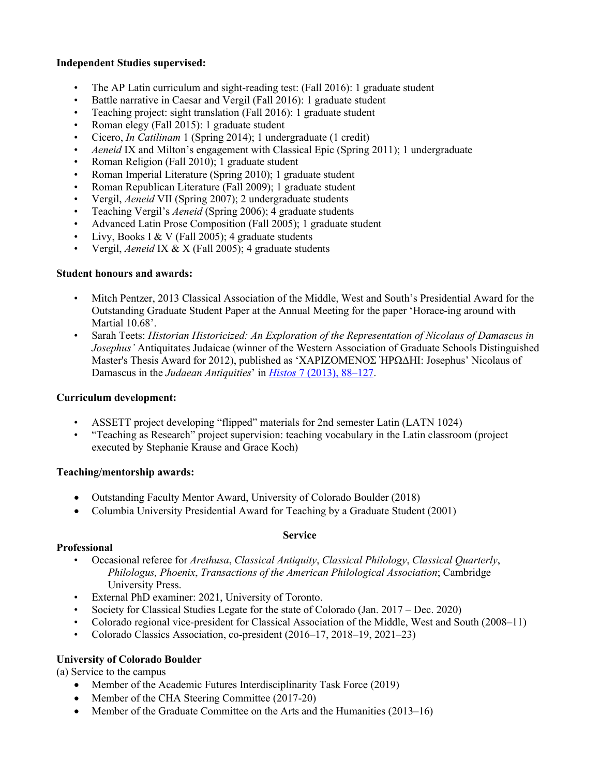#### **Independent Studies supervised:**

- The AP Latin curriculum and sight-reading test: (Fall 2016): 1 graduate student
- Battle narrative in Caesar and Vergil (Fall 2016): 1 graduate student
- Teaching project: sight translation (Fall 2016): 1 graduate student
- Roman elegy (Fall 2015): 1 graduate student
- Cicero, *In Catilinam* 1 (Spring 2014); 1 undergraduate (1 credit)
- *Aeneid* IX and Milton's engagement with Classical Epic (Spring 2011); 1 undergraduate
- Roman Religion (Fall 2010); 1 graduate student
- Roman Imperial Literature (Spring 2010); 1 graduate student
- Roman Republican Literature (Fall 2009); 1 graduate student
- Vergil, *Aeneid* VII (Spring 2007); 2 undergraduate students
- Teaching Vergil's *Aeneid* (Spring 2006); 4 graduate students
- Advanced Latin Prose Composition (Fall 2005); 1 graduate student
- Livy, Books I & V (Fall 2005); 4 graduate students
- Vergil, *Aeneid* IX & X (Fall 2005); 4 graduate students

# **Student honours and awards:**

- Mitch Pentzer, 2013 Classical Association of the Middle, West and South's Presidential Award for the Outstanding Graduate Student Paper at the Annual Meeting for the paper 'Horace-ing around with Martial 10.68'.
- Sarah Teets: *Historian Historicized: An Exploration of the Representation of Nicolaus of Damascus in Josephus'* Antiquitates Judaicae (winner of the Western Association of Graduate Schools Distinguished Master's Thesis Award for 2012), published as 'ΧΑΡΙΖΟΜΕΝΟΣ ἩΡΩΔΗΙ: Josephus' Nicolaus of Damascus in the *Judaean Antiquities*' in *Histos* 7 (2013), 88*–*127.

# **Curriculum development:**

- ASSETT project developing "flipped" materials for 2nd semester Latin (LATN 1024)
- "Teaching as Research" project supervision: teaching vocabulary in the Latin classroom (project executed by Stephanie Krause and Grace Koch)

# **Teaching/mentorship awards:**

- Outstanding Faculty Mentor Award, University of Colorado Boulder (2018)
- Columbia University Presidential Award for Teaching by a Graduate Student (2001)

# **Service**

# **Professional**

- Occasional referee for *Arethusa*, *Classical Antiquity*, *Classical Philology*, *Classical Quarterly*, *Philologus, Phoenix*, *Transactions of the American Philological Association*; Cambridge University Press.
- External PhD examiner: 2021, University of Toronto.
- Society for Classical Studies Legate for the state of Colorado (Jan. 2017 Dec. 2020)
- Colorado regional vice-president for Classical Association of the Middle, West and South (2008–11)
- Colorado Classics Association, co-president (2016–17, 2018–19, 2021–23)

# **University of Colorado Boulder**

(a) Service to the campus

- Member of the Academic Futures Interdisciplinarity Task Force (2019)
- Member of the CHA Steering Committee (2017-20)
- Member of the Graduate Committee on the Arts and the Humanities (2013–16)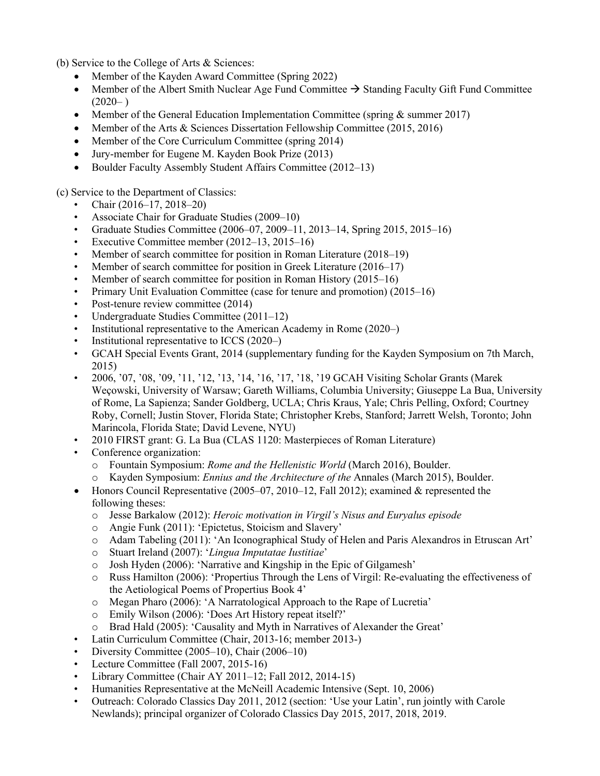(b) Service to the College of Arts & Sciences:

- Member of the Kayden Award Committee (Spring 2022)
- Member of the Albert Smith Nuclear Age Fund Committee  $\rightarrow$  Standing Faculty Gift Fund Committee  $(2020-)$
- Member of the General Education Implementation Committee (spring & summer 2017)
- Member of the Arts & Sciences Dissertation Fellowship Committee (2015, 2016)
- Member of the Core Curriculum Committee (spring 2014)
- Jury-member for Eugene M. Kayden Book Prize (2013)
- Boulder Faculty Assembly Student Affairs Committee (2012–13)

(c) Service to the Department of Classics:

- Chair (2016–17, 2018–20)
- Associate Chair for Graduate Studies (2009–10)
- Graduate Studies Committee  $(2006-07, 2009-11, 2013-14,$  Spring  $2015, 2015-16)$
- Executive Committee member (2012–13, 2015–16)
- Member of search committee for position in Roman Literature (2018–19)
- Member of search committee for position in Greek Literature (2016–17)
- Member of search committee for position in Roman History (2015–16)
- Primary Unit Evaluation Committee (case for tenure and promotion) (2015–16)
- Post-tenure review committee (2014)
- Undergraduate Studies Committee (2011–12)
- Institutional representative to the American Academy in Rome (2020–)
- Institutional representative to ICCS (2020–)
- GCAH Special Events Grant, 2014 (supplementary funding for the Kayden Symposium on 7th March, 2015)
- 2006, '07, '08, '09, '11, '12, '13, '14, '16, '17, '18, '19 GCAH Visiting Scholar Grants (Marek Weçowski, University of Warsaw; Gareth Williams, Columbia University; Giuseppe La Bua, University of Rome, La Sapienza; Sander Goldberg, UCLA; Chris Kraus, Yale; Chris Pelling, Oxford; Courtney Roby, Cornell; Justin Stover, Florida State; Christopher Krebs, Stanford; Jarrett Welsh, Toronto; John Marincola, Florida State; David Levene, NYU)
- 2010 FIRST grant: G. La Bua (CLAS 1120: Masterpieces of Roman Literature)
- Conference organization:
	- o Fountain Symposium: *Rome and the Hellenistic World* (March 2016), Boulder.
	- o Kayden Symposium: *Ennius and the Architecture of the* Annales (March 2015), Boulder.
- Honors Council Representative  $(2005-07, 2010-12, 12012)$ ; examined & represented the following theses:
	- o Jesse Barkalow (2012): *Heroic motivation in Virgil's Nisus and Euryalus episode*
	- o Angie Funk (2011): 'Epictetus, Stoicism and Slavery'
	- o Adam Tabeling (2011): 'An Iconographical Study of Helen and Paris Alexandros in Etruscan Art'
	- o Stuart Ireland (2007): '*Lingua Imputatae Iustitiae*'
	- o Josh Hyden (2006): 'Narrative and Kingship in the Epic of Gilgamesh'
	- o Russ Hamilton (2006): 'Propertius Through the Lens of Virgil: Re-evaluating the effectiveness of the Aetiological Poems of Propertius Book 4'
	- o Megan Pharo (2006): 'A Narratological Approach to the Rape of Lucretia'
	- o Emily Wilson (2006): 'Does Art History repeat itself?'
	- o Brad Hald (2005): 'Causality and Myth in Narratives of Alexander the Great'
- Latin Curriculum Committee (Chair, 2013-16; member 2013-)
- Diversity Committee (2005–10), Chair (2006–10)
- Lecture Committee (Fall 2007, 2015-16)
- Library Committee (Chair AY 2011–12; Fall 2012, 2014-15)
- Humanities Representative at the McNeill Academic Intensive (Sept. 10, 2006)
- Outreach: Colorado Classics Day 2011, 2012 (section: 'Use your Latin', run jointly with Carole Newlands); principal organizer of Colorado Classics Day 2015, 2017, 2018, 2019.